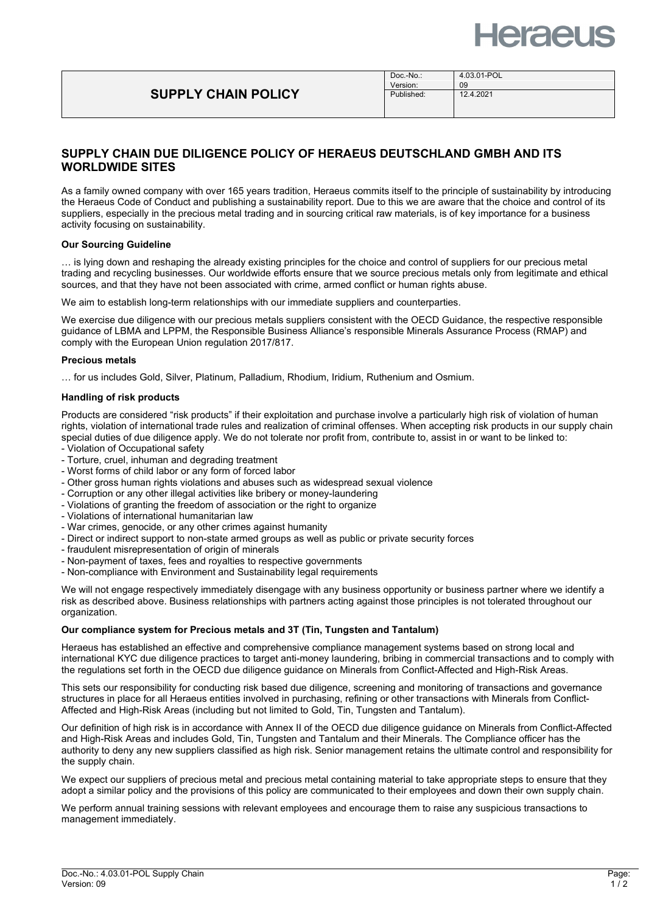

# **SUPPLY CHAIN POLICY**

# **SUPPLY CHAIN DUE DILIGENCE POLICY OF HERAEUS DEUTSCHLAND GMBH AND ITS WORLDWIDE SITES**

As a family owned company with over 165 years tradition, Heraeus commits itself to the principle of sustainability by introducing the Heraeus Code of Conduct and publishing a sustainability report. Due to this we are aware that the choice and control of its suppliers, especially in the precious metal trading and in sourcing critical raw materials, is of key importance for a business activity focusing on sustainability.

# **Our Sourcing Guideline**

… is lying down and reshaping the already existing principles for the choice and control of suppliers for our precious metal trading and recycling businesses. Our worldwide efforts ensure that we source precious metals only from legitimate and ethical sources, and that they have not been associated with crime, armed conflict or human rights abuse.

We aim to establish long-term relationships with our immediate suppliers and counterparties.

We exercise due diligence with our precious metals suppliers consistent with the OECD Guidance, the respective responsible guidance of LBMA and LPPM, the Responsible Business Alliance's responsible Minerals Assurance Process (RMAP) and comply with the European Union regulation 2017/817.

#### **Precious metals**

… for us includes Gold, Silver, Platinum, Palladium, Rhodium, Iridium, Ruthenium and Osmium.

## **Handling of risk products**

Products are considered "risk products" if their exploitation and purchase involve a particularly high risk of violation of human rights, violation of international trade rules and realization of criminal offenses. When accepting risk products in our supply chain special duties of due diligence apply. We do not tolerate nor profit from, contribute to, assist in or want to be linked to:

- Violation of Occupational safety
- Torture, cruel, inhuman and degrading treatment
- Worst forms of child labor or any form of forced labor
- Other gross human rights violations and abuses such as widespread sexual violence
- Corruption or any other illegal activities like bribery or money-laundering
- Violations of granting the freedom of association or the right to organize
- Violations of international humanitarian law
- War crimes, genocide, or any other crimes against humanity
- Direct or indirect support to non-state armed groups as well as public or private security forces
- fraudulent misrepresentation of origin of minerals
- Non-payment of taxes, fees and royalties to respective governments
- Non-compliance with Environment and Sustainability legal requirements

We will not engage respectively immediately disengage with any business opportunity or business partner where we identify a risk as described above. Business relationships with partners acting against those principles is not tolerated throughout our organization.

### **Our compliance system for Precious metals and 3T (Tin, Tungsten and Tantalum)**

Heraeus has established an effective and comprehensive compliance management systems based on strong local and international KYC due diligence practices to target anti-money laundering, bribing in commercial transactions and to comply with the regulations set forth in the OECD due diligence guidance on Minerals from Conflict-Affected and High-Risk Areas.

This sets our responsibility for conducting risk based due diligence, screening and monitoring of transactions and governance structures in place for all Heraeus entities involved in purchasing, refining or other transactions with Minerals from Conflict-Affected and High-Risk Areas (including but not limited to Gold, Tin, Tungsten and Tantalum).

Our definition of high risk is in accordance with Annex II of the OECD due diligence guidance on Minerals from Conflict-Affected and High-Risk Areas and includes Gold, Tin, Tungsten and Tantalum and their Minerals. The Compliance officer has the authority to deny any new suppliers classified as high risk. Senior management retains the ultimate control and responsibility for the supply chain.

We expect our suppliers of precious metal and precious metal containing material to take appropriate steps to ensure that they adopt a similar policy and the provisions of this policy are communicated to their employees and down their own supply chain.

We perform annual training sessions with relevant employees and encourage them to raise any suspicious transactions to management immediately.